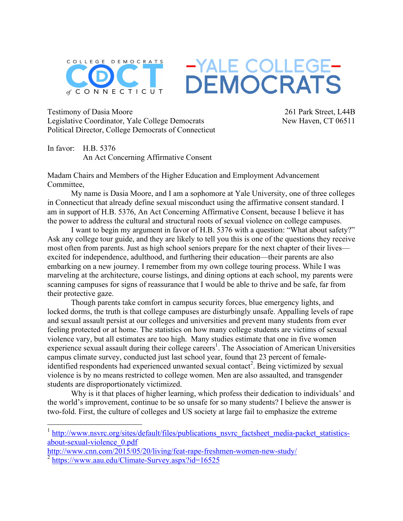

-YALE COLLEGE-<br>DEMOCRATS

Testimony of Dasia Moore Legislative Coordinator, Yale College Democrats Political Director, College Democrats of Connecticut

261 Park Street, L44B New Haven, CT 06511

In favor: H.B. 5376 An Act Concerning Affirmative Consent

Madam Chairs and Members of the Higher Education and Employment Advancement Committee,

My name is Dasia Moore, and I am a sophomore at Yale University, one of three colleges in Connecticut that already define sexual misconduct using the affirmative consent standard. I am in support of H.B. 5376, An Act Concerning Affirmative Consent, because I believe it has the power to address the cultural and structural roots of sexual violence on college campuses.

I want to begin my argument in favor of H.B. 5376 with a question: "What about safety?" Ask any college tour guide, and they are likely to tell you this is one of the questions they receive most often from parents. Just as high school seniors prepare for the next chapter of their lives excited for independence, adulthood, and furthering their education—their parents are also embarking on a new journey. I remember from my own college touring process. While I was marveling at the architecture, course listings, and dining options at each school, my parents were scanning campuses for signs of reassurance that I would be able to thrive and be safe, far from their protective gaze.

Though parents take comfort in campus security forces, blue emergency lights, and locked dorms, the truth is that college campuses are disturbingly unsafe. Appalling levels of rape and sexual assault persist at our colleges and universities and prevent many students from ever feeling protected or at home. The statistics on how many college students are victims of sexual violence vary, but all estimates are too high. Many studies estimate that one in five women experience sexual assault during their college careers<sup>1</sup>. The Association of American Universities campus climate survey, conducted just last school year, found that 23 percent of femaleidentified respondents had experienced unwanted sexual contact<sup>2</sup>. Being victimized by sexual violence is by no means restricted to college women. Men are also assaulted, and transgender students are disproportionately victimized.

Why is it that places of higher learning, which profess their dedication to individuals' and the world's improvement, continue to be so unsafe for so many students? I believe the answer is two-fold. First, the culture of colleges and US society at large fail to emphasize the extreme

<sup>&</sup>lt;sup>1</sup> http://www.nsvrc.org/sites/default/files/publications\_nsvrc\_factsheet\_media-packet\_statisticsabout-sexual-violence\_0.pdf

http://www.cnn.com/2015/05/20/living/feat-rape-freshmen-women-new-study/  $^{2}$  https://www.aau.edu/Climate-Survey.aspx?id=16525